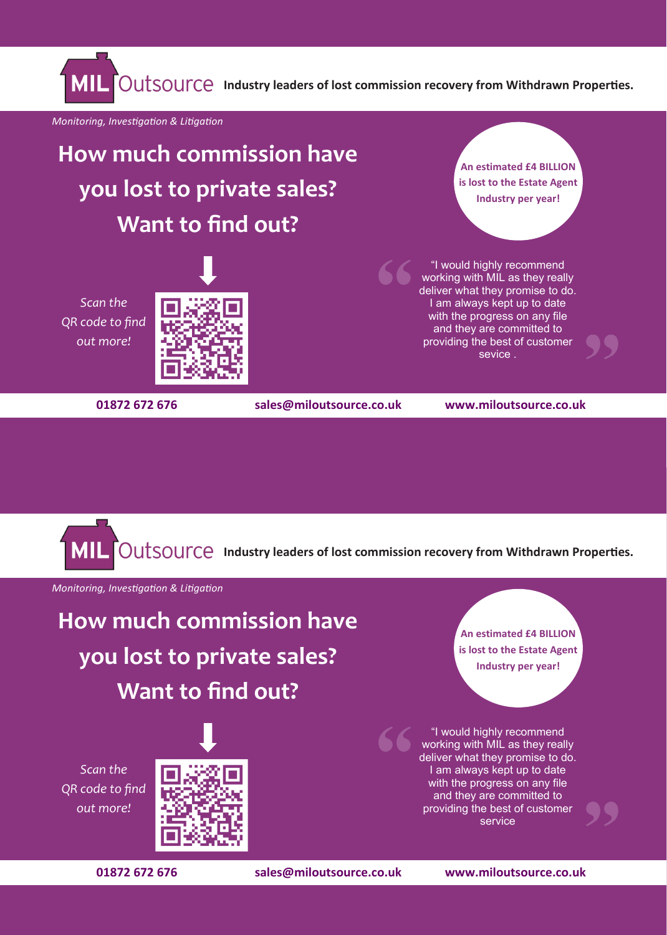**IOUTSOUTCE** Industry leaders of lost commission recovery from Withdrawn Properties.

*Monitoring, Investigation & Litigation*

**How much commission have you lost to private sales? Want to find out?**

*Scan the QR code to find out more!*





**An estimated £4 BILLION is lost to the Estate Agent Industry per year!**

"I would highly recommend working with MIL as they really deliver what they promise to do. I am always kept up to date with the progress on any file and they are committed to providing the best of customer sevice .



**An estimated £4 BILLION is lost to the Estate Agent Industry per year!**

"I would highly recommend working with MIL as they really deliver what they promise to do. I am always kept up to date with the progress on any file and they are committed to providing the best of customer service

**Indumstry Common Commundaty Industry leaders of lost commission recovery from Withdrawn Properties.** 

*Monitoring, Investigation & Litigation*

**How much commission have you lost to private sales? Want to find out?**

*Scan the QR code to find out more!*



**01872 672 676 sales@miloutsource.co.uk www.miloutsource.co.uk**